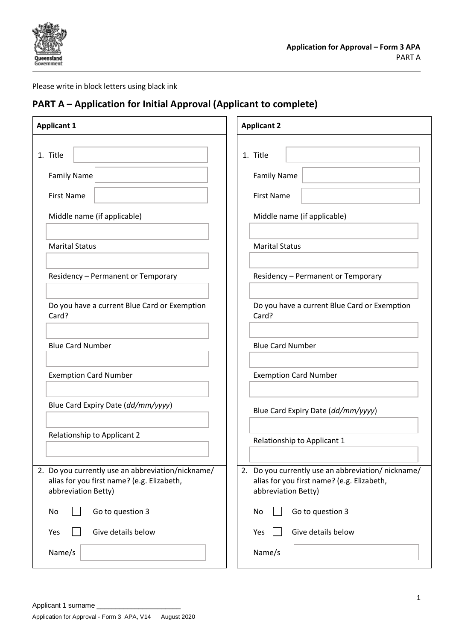

### Please write in block letters using black ink

### **PART A – Application for Initial Approval (Applicant to complete)**

| <b>Applicant 1</b>                                                                                                     | <b>Applicant 2</b>                                                                                                     |
|------------------------------------------------------------------------------------------------------------------------|------------------------------------------------------------------------------------------------------------------------|
| 1. Title<br><b>Family Name</b>                                                                                         | 1. Title<br><b>Family Name</b>                                                                                         |
| <b>First Name</b>                                                                                                      | <b>First Name</b>                                                                                                      |
| Middle name (if applicable)                                                                                            | Middle name (if applicable)                                                                                            |
| <b>Marital Status</b>                                                                                                  | <b>Marital Status</b>                                                                                                  |
| Residency - Permanent or Temporary                                                                                     | Residency - Permanent or Temporary                                                                                     |
| Do you have a current Blue Card or Exemption<br>Card?                                                                  | Do you have a current Blue Card or Exemption<br>Card?                                                                  |
| <b>Blue Card Number</b>                                                                                                | <b>Blue Card Number</b>                                                                                                |
| <b>Exemption Card Number</b>                                                                                           | <b>Exemption Card Number</b>                                                                                           |
| Blue Card Expiry Date (dd/mm/yyyy)                                                                                     | Blue Card Expiry Date (dd/mm/yyyy)                                                                                     |
| Relationship to Applicant 2                                                                                            | Relationship to Applicant 1                                                                                            |
| 2. Do you currently use an abbreviation/nickname/<br>alias for you first name? (e.g. Elizabeth,<br>abbreviation Betty) | 2. Do you currently use an abbreviation/nickname/<br>alias for you first name? (e.g. Elizabeth,<br>abbreviation Betty) |
| Go to question 3<br>No                                                                                                 | Go to question 3<br>No                                                                                                 |
| Give details below<br>Yes                                                                                              | Give details below<br>Yes                                                                                              |
| Name/s                                                                                                                 | Name/s                                                                                                                 |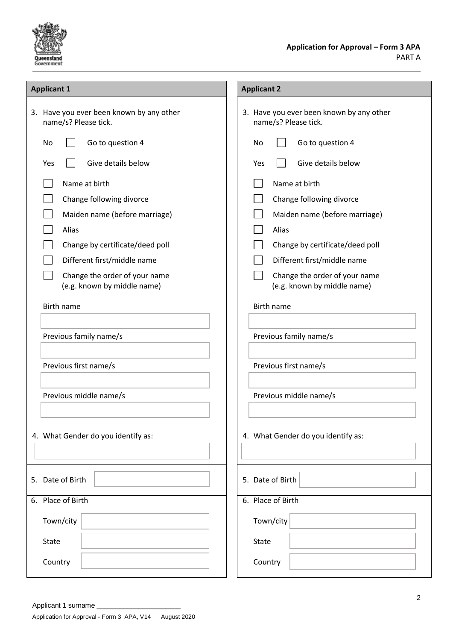

| <b>Applicant 1</b>                                               | <b>Applicant 2</b>                                               |
|------------------------------------------------------------------|------------------------------------------------------------------|
| 3. Have you ever been known by any other<br>name/s? Please tick. | 3. Have you ever been known by any other<br>name/s? Please tick. |
| Go to question 4<br>No                                           | Go to question 4<br>No                                           |
| Give details below<br>Yes                                        | Give details below<br>Yes                                        |
| Name at birth                                                    | Name at birth                                                    |
| Change following divorce                                         | Change following divorce                                         |
| Maiden name (before marriage)                                    | Maiden name (before marriage)                                    |
| Alias                                                            | Alias                                                            |
| Change by certificate/deed poll                                  | Change by certificate/deed poll                                  |
| Different first/middle name                                      | Different first/middle name                                      |
| Change the order of your name<br>(e.g. known by middle name)     | Change the order of your name<br>(e.g. known by middle name)     |
| <b>Birth name</b>                                                | <b>Birth name</b>                                                |
|                                                                  |                                                                  |
| Previous family name/s                                           | Previous family name/s                                           |
|                                                                  |                                                                  |
| Previous first name/s                                            | Previous first name/s                                            |
|                                                                  |                                                                  |
| Previous middle name/s                                           | Previous middle name/s                                           |
|                                                                  |                                                                  |
| 4. What Gender do you identify as:                               | 4. What Gender do you identify as:                               |
|                                                                  |                                                                  |
|                                                                  |                                                                  |
| 5. Date of Birth                                                 | 5. Date of Birth                                                 |
| 6. Place of Birth                                                | 6. Place of Birth                                                |
| Town/city                                                        | Town/city                                                        |
| <b>State</b>                                                     | State                                                            |
| Country                                                          | Country                                                          |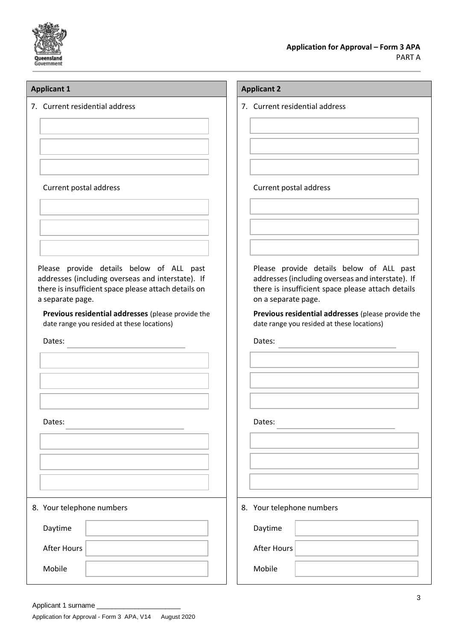

7. Current residential address

Current postal address

Please provide details below of ALL past addresses (including overseas and interstate). If there is insufficient space please attach details on a separate page.

**Previous residential addresses** (please provide the date range you resided at these locations)

<u> 1980 - Johann Barbara, martxa alemaniar a</u>

Dates:

| Dates:                    |  |
|---------------------------|--|
|                           |  |
|                           |  |
|                           |  |
|                           |  |
| 8. Your telephone numbers |  |
| Daytime                   |  |
| <b>After Hours</b>        |  |
| Mobile                    |  |

### **Applicant 1 Applicant 2**

7. Current residential address

### Current postal address

Please provide details below of ALL past addresses (including overseas and interstate). If there is insufficient space please attach details on a separate page.

**Previous residential addresses** (please provide the date range you resided at these locations)

<u> 1980 - Johann Barn, mars an t-Amerikaansk politiker (</u>

Dates:

Dates:

8. Your telephone numbers

Daytime

After Hours

Mobile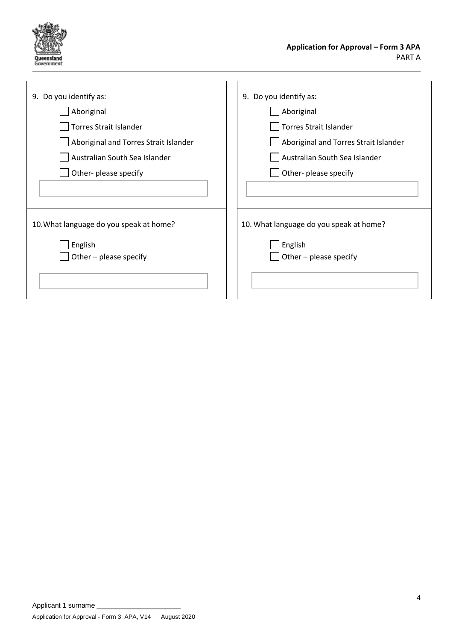

| 9. Do you identify as:                  | 9. Do you identify as:                  |
|-----------------------------------------|-----------------------------------------|
| Aboriginal                              | Aboriginal                              |
| <b>Torres Strait Islander</b>           | <b>Torres Strait Islander</b>           |
| Aboriginal and Torres Strait Islander   | Aboriginal and Torres Strait Islander   |
| Australian South Sea Islander           | Australian South Sea Islander           |
| Other- please specify                   | Other- please specify                   |
|                                         |                                         |
|                                         |                                         |
| 10. What language do you speak at home? | 10. What language do you speak at home? |
| English                                 | English                                 |
| Other - please specify                  | Other - please specify                  |
|                                         |                                         |
|                                         |                                         |
|                                         |                                         |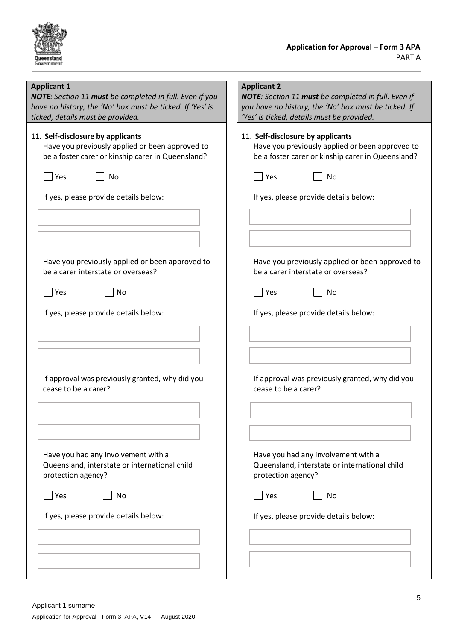

### **Applicant 1**

*NOTE: Section 11 must be completed in full. Even if you have no history, the 'No' box must be ticked. If 'Yes' is ticked, details must be provided.*

## 11. **Self-disclosure by applicants**

Have you previously applied or been approved to be a foster carer or kinship carer in Queensland?

| l lYes |  | No |
|--------|--|----|
|        |  |    |

If yes, please provide details below:

| Have you previously applied or been approved to |
|-------------------------------------------------|
| be a carer interstate or overseas?              |

If yes, please provide details below:

 $\Box$  Yes  $\Box$  No

| If approval was previously granted, why did you |
|-------------------------------------------------|
| cease to be a carer?                            |

Have you had any involvement with a Queensland, interstate or international child protection agency?

 $\Box$  Yes  $\Box$  No

If yes, please provide details below:

|     | be a foster carer or kinship carer in Queensland? |
|-----|---------------------------------------------------|
| Yes | No                                                |
|     | If yes, please provide details below:             |
|     |                                                   |
|     |                                                   |
|     |                                                   |

Have you previously applied or been approved to

*NOTE: Section 11 must be completed in full. Even if you have no history, the 'No' box must be ticked. If* 

*'Yes' is ticked, details must be provided.*

11. **Self-disclosure by applicants**

**Applicant 2**

Have you previously applied or been approved to be a carer interstate or overseas?

| <b>Yes</b> | N٥ |
|------------|----|
|            |    |

If yes, please provide details below:

If approval was previously granted, why did you cease to be a carer?

Have you had any involvement with a Queensland, interstate or international child protection agency?

 $\Box$  Yes  $\Box$  No

If yes, please provide details below: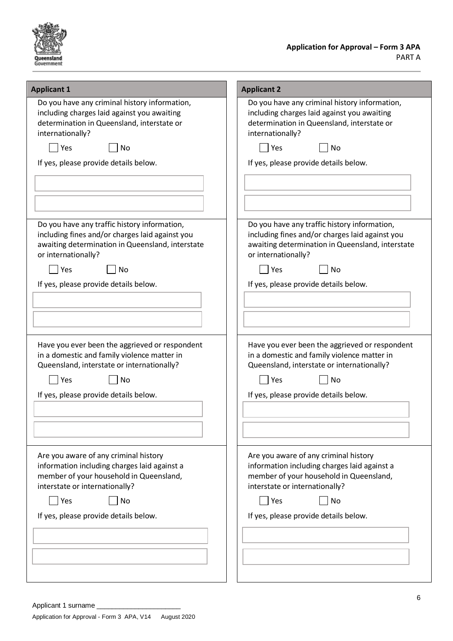

| <b>Applicant 1</b>                                                                                                                                                                                                              | <b>Applicant 2</b>                                                                                                                                                                                                              |
|---------------------------------------------------------------------------------------------------------------------------------------------------------------------------------------------------------------------------------|---------------------------------------------------------------------------------------------------------------------------------------------------------------------------------------------------------------------------------|
| Do you have any criminal history information,<br>including charges laid against you awaiting<br>determination in Queensland, interstate or<br>internationally?                                                                  | Do you have any criminal history information,<br>including charges laid against you awaiting<br>determination in Queensland, interstate or<br>internationally?                                                                  |
| Yes<br>No                                                                                                                                                                                                                       | Yes<br><b>No</b>                                                                                                                                                                                                                |
| If yes, please provide details below.                                                                                                                                                                                           | If yes, please provide details below.                                                                                                                                                                                           |
|                                                                                                                                                                                                                                 |                                                                                                                                                                                                                                 |
|                                                                                                                                                                                                                                 |                                                                                                                                                                                                                                 |
|                                                                                                                                                                                                                                 |                                                                                                                                                                                                                                 |
| Do you have any traffic history information,<br>including fines and/or charges laid against you<br>awaiting determination in Queensland, interstate<br>or internationally?<br>Yes<br>No                                         | Do you have any traffic history information,<br>including fines and/or charges laid against you<br>awaiting determination in Queensland, interstate<br>or internationally?<br>Yes<br>No                                         |
| If yes, please provide details below.                                                                                                                                                                                           | If yes, please provide details below.                                                                                                                                                                                           |
|                                                                                                                                                                                                                                 |                                                                                                                                                                                                                                 |
|                                                                                                                                                                                                                                 |                                                                                                                                                                                                                                 |
|                                                                                                                                                                                                                                 |                                                                                                                                                                                                                                 |
| Have you ever been the aggrieved or respondent<br>in a domestic and family violence matter in<br>Queensland, interstate or internationally?<br>Yes<br>No<br>If yes, please provide details below.                               | Have you ever been the aggrieved or respondent<br>in a domestic and family violence matter in<br>Queensland, interstate or internationally?<br>Yes<br><b>No</b><br>If yes, please provide details below.                        |
|                                                                                                                                                                                                                                 |                                                                                                                                                                                                                                 |
| Are you aware of any criminal history<br>information including charges laid against a<br>member of your household in Queensland,<br>interstate or internationally?<br>Yes<br><b>No</b><br>If yes, please provide details below. | Are you aware of any criminal history<br>information including charges laid against a<br>member of your household in Queensland,<br>interstate or internationally?<br><b>No</b><br>Yes<br>If yes, please provide details below. |
|                                                                                                                                                                                                                                 |                                                                                                                                                                                                                                 |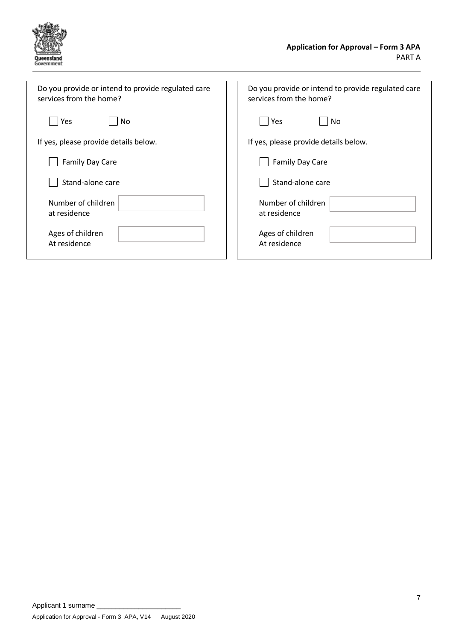

| Do you provide or intend to provide regulated care | Do you provide or intend to provide regulated care |
|----------------------------------------------------|----------------------------------------------------|
| services from the home?                            | services from the home?                            |
| Yes                                                | Yes                                                |
| Nο                                                 | No                                                 |
| If yes, please provide details below.              | If yes, please provide details below.              |
| <b>Family Day Care</b>                             | <b>Family Day Care</b>                             |
| Stand-alone care                                   | Stand-alone care                                   |
| Number of children                                 | Number of children                                 |
| at residence                                       | at residence                                       |
| Ages of children                                   | Ages of children                                   |
| At residence                                       | At residence                                       |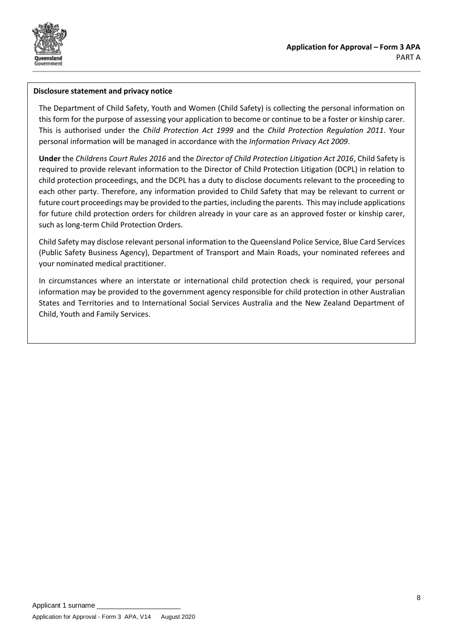

### **Disclosure statement and privacy notice**

The Department of Child Safety, Youth and Women (Child Safety) is collecting the personal information on this form for the purpose of assessing your application to become or continue to be a foster or kinship carer. This is authorised under the *Child Protection Act 1999* and the *Child Protection Regulation 2011*. Your personal information will be managed in accordance with the *Information Privacy Act 2009*.

**Under** the *Childrens Court Rules 2016* and the *Director of Child Protection Litigation Act 2016*, Child Safety is required to provide relevant information to the Director of Child Protection Litigation (DCPL) in relation to child protection proceedings, and the DCPL has a duty to disclose documents relevant to the proceeding to each other party. Therefore, any information provided to Child Safety that may be relevant to current or future court proceedings may be provided to the parties, including the parents. This may include applications for future child protection orders for children already in your care as an approved foster or kinship carer, such as long-term Child Protection Orders.

Child Safety may disclose relevant personal information to the Queensland Police Service, Blue Card Services (Public Safety Business Agency), Department of Transport and Main Roads, your nominated referees and your nominated medical practitioner.

In circumstances where an interstate or international child protection check is required, your personal information may be provided to the government agency responsible for child protection in other Australian States and Territories and to International Social Services Australia and the New Zealand Department of Child, Youth and Family Services.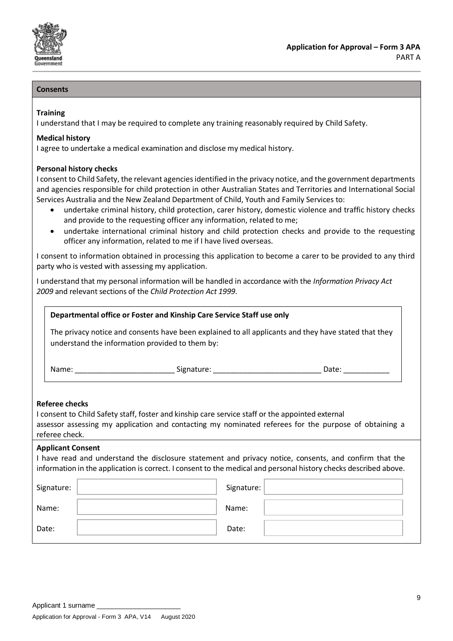

### **Consents**

### **Training**

I understand that I may be required to complete any training reasonably required by Child Safety.

### **Medical history**

I agree to undertake a medical examination and disclose my medical history.

### **Personal history checks**

I consent to Child Safety, the relevant agencies identified in the privacy notice, and the government departments and agencies responsible for child protection in other Australian States and Territories and International Social Services Australia and the New Zealand Department of Child, Youth and Family Services to:

- undertake criminal history, child protection, carer history, domestic violence and traffic history checks and provide to the requesting officer any information, related to me;
- undertake international criminal history and child protection checks and provide to the requesting officer any information, related to me if I have lived overseas.

I consent to information obtained in processing this application to become a carer to be provided to any third party who is vested with assessing my application.

I understand that my personal information will be handled in accordance with the *Information Privacy Act 2009* and relevant sections of the *Child Protection Act 1999*.

| Departmental office or Foster and Kinship Care Service Staff use only |  |
|-----------------------------------------------------------------------|--|
|-----------------------------------------------------------------------|--|

The privacy notice and consents have been explained to all applicants and they have stated that they understand the information provided to them by:

Name: \_\_\_\_\_\_\_\_\_\_\_\_\_\_\_\_\_\_\_\_\_\_\_\_ Signature: \_\_\_\_\_\_\_\_\_\_\_\_\_\_\_\_\_\_\_\_\_\_\_\_\_\_ Date: \_\_\_\_\_\_\_\_\_\_\_

#### **Referee checks**

I consent to Child Safety staff, foster and kinship care service staff or the appointed external assessor assessing my application and contacting my nominated referees for the purpose of obtaining a referee check.

### **Applicant Consent**

I have read and understand the disclosure statement and privacy notice, consents, and confirm that the information in the application is correct. I consent to the medical and personal history checks described above.

| Signature: | Signature: |
|------------|------------|
| Name:      | Name:      |
| Date:      | Date:      |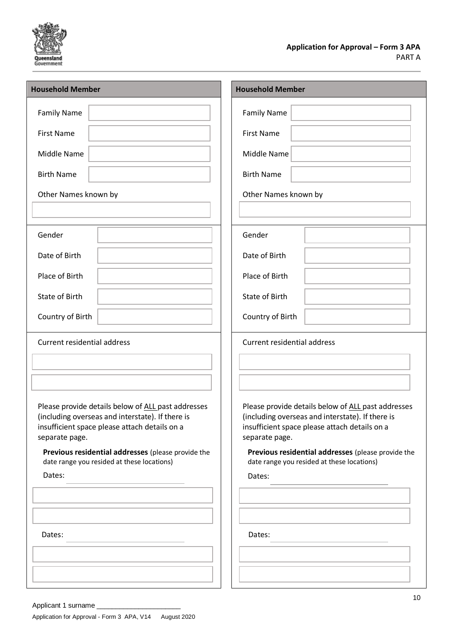

### **Application for Approval – Form 3 APA** PART A

| <b>Household Member</b>                                                                                                                                                   | <b>Household Member</b>                                                                                                                                                   |
|---------------------------------------------------------------------------------------------------------------------------------------------------------------------------|---------------------------------------------------------------------------------------------------------------------------------------------------------------------------|
| <b>Family Name</b>                                                                                                                                                        | <b>Family Name</b>                                                                                                                                                        |
| <b>First Name</b>                                                                                                                                                         | <b>First Name</b>                                                                                                                                                         |
| Middle Name                                                                                                                                                               | Middle Name                                                                                                                                                               |
| <b>Birth Name</b>                                                                                                                                                         | <b>Birth Name</b>                                                                                                                                                         |
| Other Names known by                                                                                                                                                      | Other Names known by                                                                                                                                                      |
|                                                                                                                                                                           |                                                                                                                                                                           |
| Gender                                                                                                                                                                    | Gender                                                                                                                                                                    |
| Date of Birth                                                                                                                                                             | Date of Birth                                                                                                                                                             |
| Place of Birth                                                                                                                                                            | Place of Birth                                                                                                                                                            |
| State of Birth                                                                                                                                                            | State of Birth                                                                                                                                                            |
| Country of Birth                                                                                                                                                          | Country of Birth                                                                                                                                                          |
| <b>Current residential address</b>                                                                                                                                        | <b>Current residential address</b>                                                                                                                                        |
|                                                                                                                                                                           |                                                                                                                                                                           |
|                                                                                                                                                                           |                                                                                                                                                                           |
| Please provide details below of ALL past addresses<br>(including overseas and interstate). If there is<br>insufficient space please attach details on a<br>separate page. | Please provide details below of ALL past addresses<br>(including overseas and interstate). If there is<br>insufficient space please attach details on a<br>separate page. |
| Previous residential addresses (please provide the<br>date range you resided at these locations)                                                                          | Previous residential addresses (please provide the<br>date range you resided at these locations)                                                                          |
| Dates:                                                                                                                                                                    | Dates:                                                                                                                                                                    |
|                                                                                                                                                                           |                                                                                                                                                                           |
|                                                                                                                                                                           |                                                                                                                                                                           |
| Dates:                                                                                                                                                                    | Dates:                                                                                                                                                                    |
|                                                                                                                                                                           |                                                                                                                                                                           |
|                                                                                                                                                                           |                                                                                                                                                                           |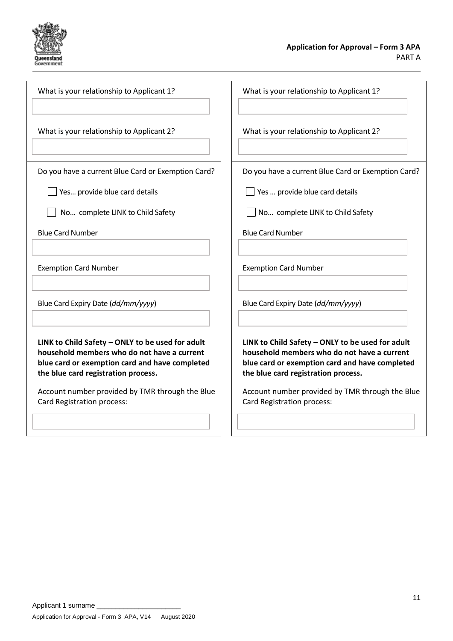

| What is your relationship to Applicant 1?                                                                                                                                                | What is your relationship to Applicant 1?                                                                                                                                                |
|------------------------------------------------------------------------------------------------------------------------------------------------------------------------------------------|------------------------------------------------------------------------------------------------------------------------------------------------------------------------------------------|
| What is your relationship to Applicant 2?                                                                                                                                                | What is your relationship to Applicant 2?                                                                                                                                                |
| Do you have a current Blue Card or Exemption Card?<br>Yes provide blue card details                                                                                                      | Do you have a current Blue Card or Exemption Card?<br>Yes  provide blue card details                                                                                                     |
| No complete LINK to Child Safety                                                                                                                                                         | No complete LINK to Child Safety                                                                                                                                                         |
| <b>Blue Card Number</b>                                                                                                                                                                  | <b>Blue Card Number</b>                                                                                                                                                                  |
| <b>Exemption Card Number</b>                                                                                                                                                             | <b>Exemption Card Number</b>                                                                                                                                                             |
| Blue Card Expiry Date (dd/mm/yyyy)                                                                                                                                                       | Blue Card Expiry Date (dd/mm/yyyy)                                                                                                                                                       |
| LINK to Child Safety - ONLY to be used for adult<br>household members who do not have a current<br>blue card or exemption card and have completed<br>the blue card registration process. | LINK to Child Safety - ONLY to be used for adult<br>household members who do not have a current<br>blue card or exemption card and have completed<br>the blue card registration process. |
| Account number provided by TMR through the Blue<br>Card Registration process:                                                                                                            | Account number provided by TMR through the Blue<br>Card Registration process:                                                                                                            |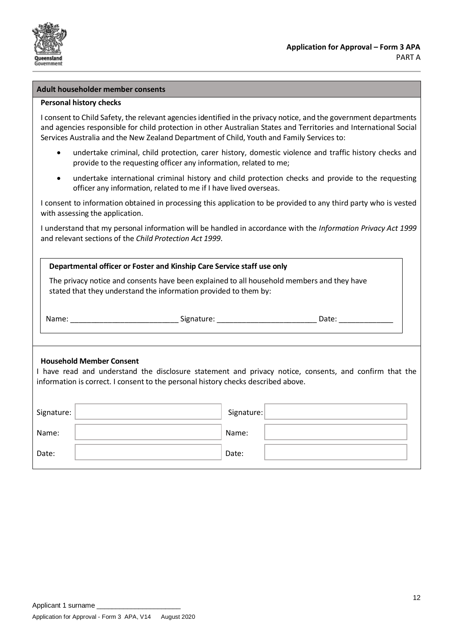

### **Adult householder member consents**

### **Personal history checks**

I consent to Child Safety, the relevant agencies identified in the privacy notice, and the government departments and agencies responsible for child protection in other Australian States and Territories and International Social Services Australia and the New Zealand Department of Child, Youth and Family Services to:

- undertake criminal, child protection, carer history, domestic violence and traffic history checks and provide to the requesting officer any information, related to me;
- undertake international criminal history and child protection checks and provide to the requesting officer any information, related to me if I have lived overseas.

I consent to information obtained in processing this application to be provided to any third party who is vested with assessing the application.

I understand that my personal information will be handled in accordance with the *Information Privacy Act 1999* and relevant sections of the *Child Protection Act 1999*.

| Departmental officer or Foster and Kinship Care Service staff use only                                                                                         |                                                                                                                                                                                             |  |
|----------------------------------------------------------------------------------------------------------------------------------------------------------------|---------------------------------------------------------------------------------------------------------------------------------------------------------------------------------------------|--|
| The privacy notice and consents have been explained to all household members and they have<br>stated that they understand the information provided to them by: |                                                                                                                                                                                             |  |
|                                                                                                                                                                | Name: ___________________________________Signature: __________________________________Date: __________________                                                                              |  |
| <b>Household Member Consent</b>                                                                                                                                | I have read and understand the disclosure statement and privacy notice, consents, and confirm that the<br>information is correct. I consent to the personal history checks described above. |  |
| Signature:                                                                                                                                                     | Signature:                                                                                                                                                                                  |  |
| Name:                                                                                                                                                          | Name:                                                                                                                                                                                       |  |
| Date:                                                                                                                                                          | Date:                                                                                                                                                                                       |  |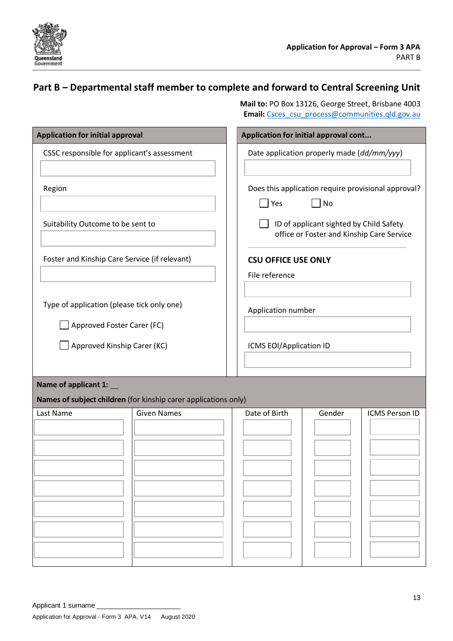

### **Part B – Departmental staff member to complete and forward to Central Screening Unit**

 **Mail to:** PO Box 13126, George Street, Brisbane 4003 **Email:** [Csces\\_csu\\_process@communities.qld.gov.au](mailto:Csces_csu_process@communities.qld.gov.au)

| <b>Application for initial approval</b>                                  | Application for initial approval cont                                                |
|--------------------------------------------------------------------------|--------------------------------------------------------------------------------------|
| CSSC responsible for applicant's assessment                              | Date application properly made (dd/mm/yyy)                                           |
| Region                                                                   | Does this application require provisional approval?<br>$ $ Yes<br>No                 |
| Suitability Outcome to be sent to                                        | ID of applicant sighted by Child Safety<br>office or Foster and Kinship Care Service |
| Foster and Kinship Care Service (if relevant)                            | <b>CSU OFFICE USE ONLY</b><br>File reference                                         |
| Type of application (please tick only one)<br>Approved Foster Carer (FC) | Application number                                                                   |
| Approved Kinship Carer (KC)                                              | ICMS EOI/Application ID                                                              |
| Name of applicant 1:                                                     |                                                                                      |
| <b>Given Names</b><br>Last Name                                          | Date of Birth<br>Gender<br><b>ICMS Person ID</b>                                     |
| Names of subject children (for kinship carer applications only)          |                                                                                      |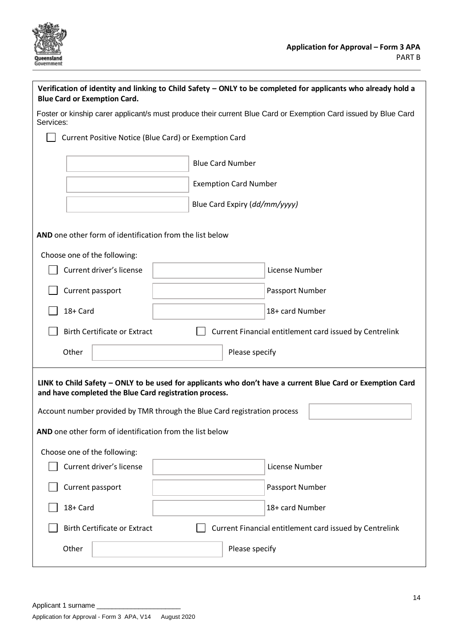

| Verification of identity and linking to Child Safety - ONLY to be completed for applicants who already hold a<br><b>Blue Card or Exemption Card.</b>                                                                                              |                               |                 |  |
|---------------------------------------------------------------------------------------------------------------------------------------------------------------------------------------------------------------------------------------------------|-------------------------------|-----------------|--|
| Foster or kinship carer applicant/s must produce their current Blue Card or Exemption Card issued by Blue Card<br>Services:                                                                                                                       |                               |                 |  |
| Current Positive Notice (Blue Card) or Exemption Card                                                                                                                                                                                             |                               |                 |  |
|                                                                                                                                                                                                                                                   | <b>Blue Card Number</b>       |                 |  |
|                                                                                                                                                                                                                                                   | <b>Exemption Card Number</b>  |                 |  |
|                                                                                                                                                                                                                                                   | Blue Card Expiry (dd/mm/yyyy) |                 |  |
| AND one other form of identification from the list below                                                                                                                                                                                          |                               |                 |  |
| Choose one of the following:                                                                                                                                                                                                                      |                               |                 |  |
| Current driver's license                                                                                                                                                                                                                          |                               | License Number  |  |
| Current passport                                                                                                                                                                                                                                  |                               | Passport Number |  |
| 18+ Card                                                                                                                                                                                                                                          |                               | 18+ card Number |  |
| <b>Birth Certificate or Extract</b><br>Current Financial entitlement card issued by Centrelink                                                                                                                                                    |                               |                 |  |
| Other                                                                                                                                                                                                                                             | Please specify                |                 |  |
| LINK to Child Safety - ONLY to be used for applicants who don't have a current Blue Card or Exemption Card<br>and have completed the Blue Card registration process.<br>Account number provided by TMR through the Blue Card registration process |                               |                 |  |
| AND one other form of identification from the list below                                                                                                                                                                                          |                               |                 |  |
| Choose one of the following:                                                                                                                                                                                                                      |                               |                 |  |
| Current driver's license                                                                                                                                                                                                                          |                               | License Number  |  |
| Current passport                                                                                                                                                                                                                                  |                               | Passport Number |  |
| 18+ Card                                                                                                                                                                                                                                          |                               | 18+ card Number |  |
| <b>Birth Certificate or Extract</b><br>Current Financial entitlement card issued by Centrelink                                                                                                                                                    |                               |                 |  |
| Other                                                                                                                                                                                                                                             | Please specify                |                 |  |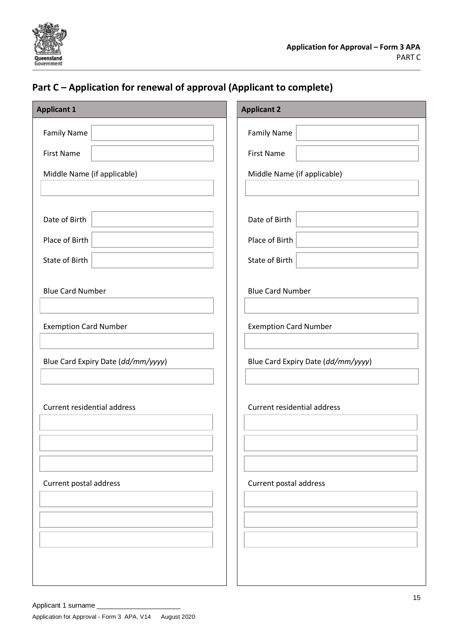

### **Part C – Application for renewal of approval (Applicant to complete)**

| <b>Applicant 1</b>                 | <b>Applicant 2</b>                 |
|------------------------------------|------------------------------------|
| <b>Family Name</b>                 | <b>Family Name</b>                 |
| <b>First Name</b>                  | <b>First Name</b>                  |
| Middle Name (if applicable)        | Middle Name (if applicable)        |
|                                    |                                    |
| Date of Birth                      | Date of Birth                      |
| Place of Birth                     | Place of Birth                     |
| State of Birth                     | State of Birth                     |
| <b>Blue Card Number</b>            | <b>Blue Card Number</b>            |
| <b>Exemption Card Number</b>       | <b>Exemption Card Number</b>       |
| Blue Card Expiry Date (dd/mm/yyyy) | Blue Card Expiry Date (dd/mm/yyyy) |
| Current residential address        | Current residential address        |
| Current postal address             | Current postal address             |
|                                    |                                    |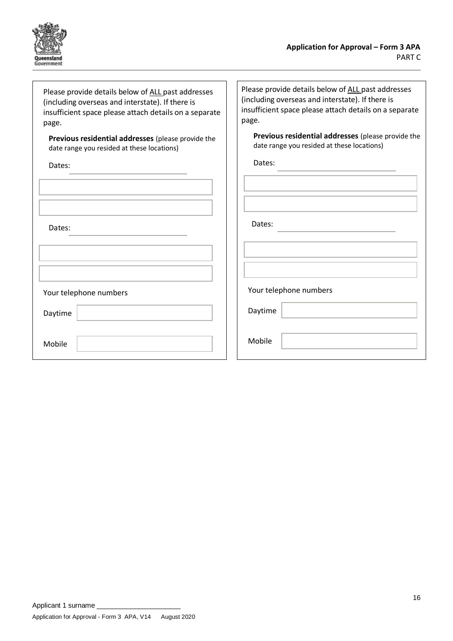

Please provide details below of ALL past addresses (including overseas and interstate). If there is insufficient space please attach details on a separate page.

**Previous residential addresses** (please provide the date range you resided at these locations)

Dates:

| Dates:                 |
|------------------------|
|                        |
| Your telephone numbers |
| Daytime                |
| Mobile                 |

Please provide details below of ALL past addresses (including overseas and interstate). If there is insufficient space please attach details on a separate page.

**Previous residential addresses** (please provide the date range you resided at these locations)

Dates:

Dates:

Your telephone numbers

Daytime

Mobile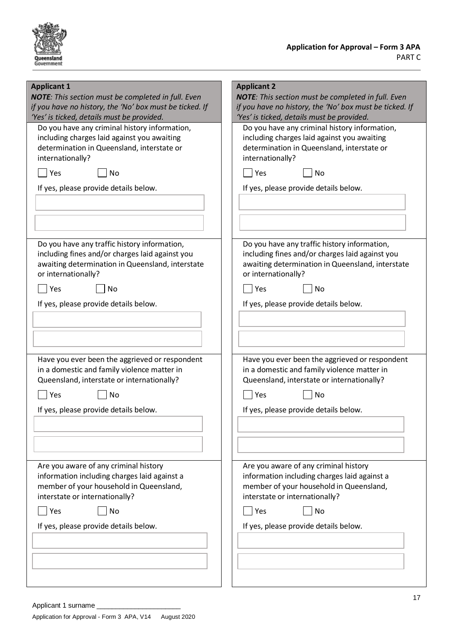

| <b>Applicant 1</b>                                        | <b>Applicant 2</b>                                        |
|-----------------------------------------------------------|-----------------------------------------------------------|
| <b>NOTE:</b> This section must be completed in full. Even | <b>NOTE:</b> This section must be completed in full. Even |
| if you have no history, the 'No' box must be ticked. If   | if you have no history, the 'No' box must be ticked. If   |
| 'Yes' is ticked, details must be provided.                | 'Yes' is ticked, details must be provided.                |
| Do you have any criminal history information,             | Do you have any criminal history information,             |
| including charges laid against you awaiting               | including charges laid against you awaiting               |
| determination in Queensland, interstate or                | determination in Queensland, interstate or                |
| internationally?                                          | internationally?                                          |
| Yes                                                       | No                                                        |
| No                                                        | Yes                                                       |
| If yes, please provide details below.                     | If yes, please provide details below.                     |
|                                                           |                                                           |
| Do you have any traffic history information,              | Do you have any traffic history information,              |
| including fines and/or charges laid against you           | including fines and/or charges laid against you           |
| awaiting determination in Queensland, interstate          | awaiting determination in Queensland, interstate          |
| or internationally?                                       | or internationally?                                       |
| Yes                                                       | Yes                                                       |
| <b>No</b>                                                 | No                                                        |
| If yes, please provide details below.                     | If yes, please provide details below.                     |
|                                                           |                                                           |
| Have you ever been the aggrieved or respondent            | Have you ever been the aggrieved or respondent            |
| in a domestic and family violence matter in               | in a domestic and family violence matter in               |
| Queensland, interstate or internationally?                | Queensland, interstate or internationally?                |
| Yes                                                       | <b>No</b>                                                 |
| No                                                        | Yes                                                       |
| If yes, please provide details below.                     | If yes, please provide details below.                     |
|                                                           |                                                           |
| Are you aware of any criminal history                     | Are you aware of any criminal history                     |
| information including charges laid against a              | information including charges laid against a              |
| member of your household in Queensland,                   | member of your household in Queensland,                   |
| interstate or internationally?                            | interstate or internationally?                            |
| Yes                                                       | No                                                        |
| <b>No</b>                                                 | Yes                                                       |
| If yes, please provide details below.                     | If yes, please provide details below.                     |
|                                                           |                                                           |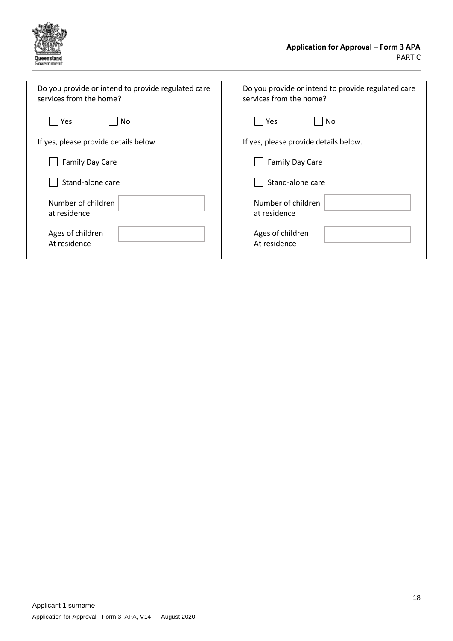

| Do you provide or intend to provide regulated care | Do you provide or intend to provide regulated care |  |
|----------------------------------------------------|----------------------------------------------------|--|
| services from the home?                            | services from the home?                            |  |
| Yes                                                | Yes                                                |  |
| No                                                 | No.                                                |  |
| If yes, please provide details below.              | If yes, please provide details below.              |  |
| <b>Family Day Care</b>                             | <b>Family Day Care</b>                             |  |
| Stand-alone care                                   | Stand-alone care                                   |  |
| Number of children                                 | Number of children                                 |  |
| at residence                                       | at residence                                       |  |
| Ages of children                                   | Ages of children                                   |  |
| At residence                                       | At residence                                       |  |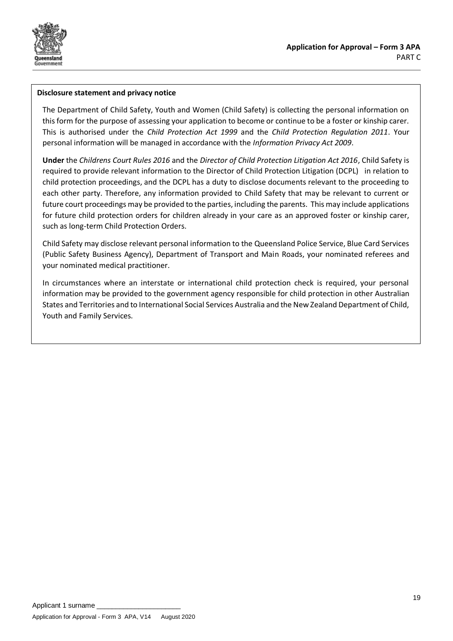

### **Disclosure statement and privacy notice**

The Department of Child Safety, Youth and Women (Child Safety) is collecting the personal information on this form for the purpose of assessing your application to become or continue to be a foster or kinship carer. This is authorised under the *Child Protection Act 1999* and the *Child Protection Regulation 2011*. Your personal information will be managed in accordance with the *Information Privacy Act 2009*.

**Under** the *Childrens Court Rules 2016* and the *Director of Child Protection Litigation Act 2016*, Child Safety is required to provide relevant information to the Director of Child Protection Litigation (DCPL) in relation to child protection proceedings, and the DCPL has a duty to disclose documents relevant to the proceeding to each other party. Therefore, any information provided to Child Safety that may be relevant to current or future court proceedings may be provided to the parties, including the parents. This may include applications for future child protection orders for children already in your care as an approved foster or kinship carer, such as long-term Child Protection Orders.

Child Safety may disclose relevant personal information to the Queensland Police Service, Blue Card Services (Public Safety Business Agency), Department of Transport and Main Roads, your nominated referees and your nominated medical practitioner.

In circumstances where an interstate or international child protection check is required, your personal information may be provided to the government agency responsible for child protection in other Australian States and Territories and to International Social Services Australia and the New Zealand Department of Child, Youth and Family Services.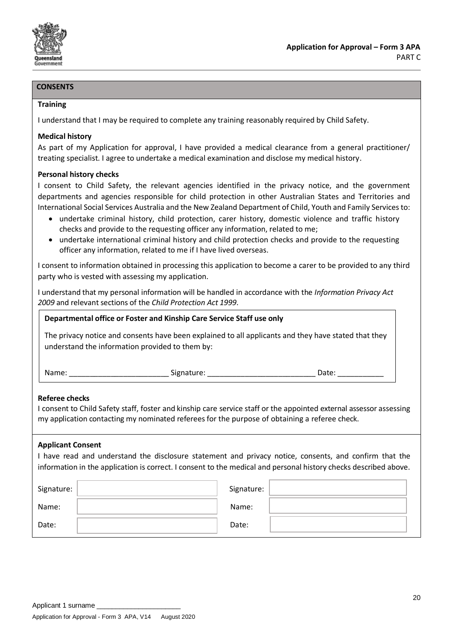

### **CONSENTS**

#### **Training**

I understand that I may be required to complete any training reasonably required by Child Safety.

### **Medical history**

As part of my Application for approval, I have provided a medical clearance from a general practitioner/ treating specialist. I agree to undertake a medical examination and disclose my medical history.

### **Personal history checks**

I consent to Child Safety, the relevant agencies identified in the privacy notice, and the government departments and agencies responsible for child protection in other Australian States and Territories and International Social Services Australia and the New Zealand Department of Child, Youth and Family Services to:

- undertake criminal history, child protection, carer history, domestic violence and traffic history checks and provide to the requesting officer any information, related to me;
- undertake international criminal history and child protection checks and provide to the requesting officer any information, related to me if I have lived overseas.

I consent to information obtained in processing this application to become a carer to be provided to any third party who is vested with assessing my application.

I understand that my personal information will be handled in accordance with the *Information Privacy Act 2009* and relevant sections of the *Child Protection Act 1999*.

### **Departmental office or Foster and Kinship Care Service Staff use only**

The privacy notice and consents have been explained to all applicants and they have stated that they understand the information provided to them by:

| Name: |  |
|-------|--|
|       |  |

Name: Signature:  $\Box$  Date:  $\Box$ 

### **Referee checks**

I consent to Child Safety staff, foster and kinship care service staff or the appointed external assessor assessing my application contacting my nominated referees for the purpose of obtaining a referee check.

### **Applicant Consent**

I have read and understand the disclosure statement and privacy notice, consents, and confirm that the information in the application is correct. I consent to the medical and personal history checks described above.

| Signature: | Signature: |  |
|------------|------------|--|
| Name:      | Name:      |  |
| Date:      | Date:      |  |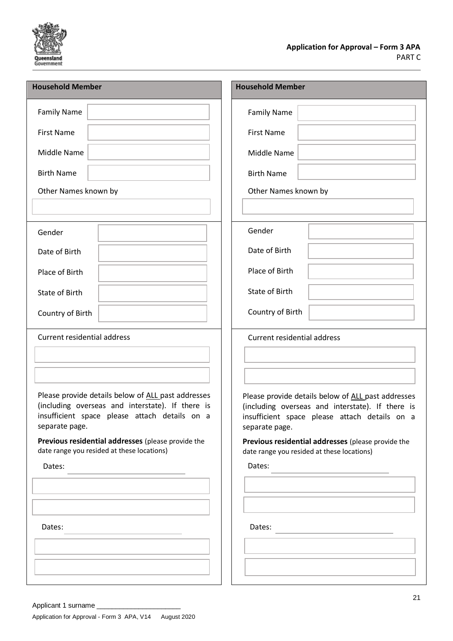

| <b>Household Member</b>                                                                                                                                                                                                         | <b>Household Member</b>                                                                                                                                                                                                         |  |
|---------------------------------------------------------------------------------------------------------------------------------------------------------------------------------------------------------------------------------|---------------------------------------------------------------------------------------------------------------------------------------------------------------------------------------------------------------------------------|--|
| <b>Family Name</b>                                                                                                                                                                                                              | <b>Family Name</b>                                                                                                                                                                                                              |  |
| <b>First Name</b>                                                                                                                                                                                                               | <b>First Name</b>                                                                                                                                                                                                               |  |
| Middle Name                                                                                                                                                                                                                     | Middle Name                                                                                                                                                                                                                     |  |
| <b>Birth Name</b>                                                                                                                                                                                                               | <b>Birth Name</b>                                                                                                                                                                                                               |  |
| Other Names known by                                                                                                                                                                                                            | Other Names known by                                                                                                                                                                                                            |  |
|                                                                                                                                                                                                                                 |                                                                                                                                                                                                                                 |  |
| Gender                                                                                                                                                                                                                          | Gender                                                                                                                                                                                                                          |  |
| Date of Birth                                                                                                                                                                                                                   | Date of Birth                                                                                                                                                                                                                   |  |
| Place of Birth                                                                                                                                                                                                                  | Place of Birth                                                                                                                                                                                                                  |  |
| State of Birth                                                                                                                                                                                                                  | State of Birth                                                                                                                                                                                                                  |  |
| Country of Birth                                                                                                                                                                                                                | Country of Birth                                                                                                                                                                                                                |  |
| <b>Current residential address</b>                                                                                                                                                                                              | <b>Current residential address</b>                                                                                                                                                                                              |  |
|                                                                                                                                                                                                                                 |                                                                                                                                                                                                                                 |  |
| Please provide details below of ALL past addresses<br>(including overseas and interstate). If there is<br>insufficient space please attach details on a<br>separate page.<br>Previous residential addresses (please provide the | Please provide details below of ALL past addresses<br>(including overseas and interstate). If there is<br>insufficient space please attach details on a<br>separate page.<br>Previous residential addresses (please provide the |  |
| date range you resided at these locations)<br>Dates:                                                                                                                                                                            | date range you resided at these locations)<br>Dates:                                                                                                                                                                            |  |
|                                                                                                                                                                                                                                 |                                                                                                                                                                                                                                 |  |
|                                                                                                                                                                                                                                 |                                                                                                                                                                                                                                 |  |
| Dates:                                                                                                                                                                                                                          | Dates:                                                                                                                                                                                                                          |  |
|                                                                                                                                                                                                                                 |                                                                                                                                                                                                                                 |  |
|                                                                                                                                                                                                                                 |                                                                                                                                                                                                                                 |  |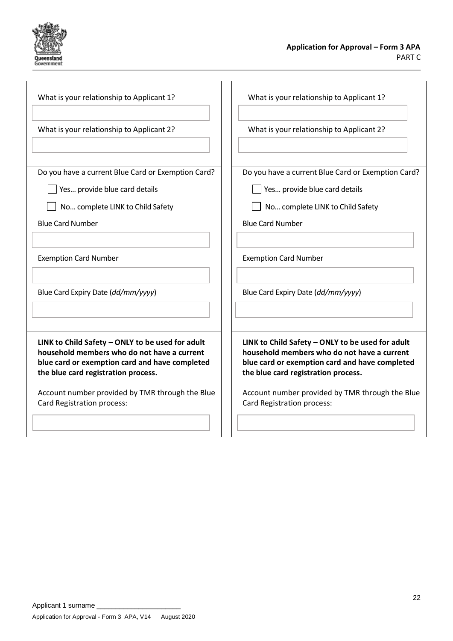

| What is your relationship to Applicant 1?                                                                                                                                                | What is your relationship to Applicant 1?                                                                                                                                                |
|------------------------------------------------------------------------------------------------------------------------------------------------------------------------------------------|------------------------------------------------------------------------------------------------------------------------------------------------------------------------------------------|
| What is your relationship to Applicant 2?                                                                                                                                                | What is your relationship to Applicant 2?                                                                                                                                                |
| Do you have a current Blue Card or Exemption Card?<br>Yes provide blue card details<br>No complete LINK to Child Safety                                                                  | Do you have a current Blue Card or Exemption Card?<br>Yes provide blue card details<br>No complete LINK to Child Safety                                                                  |
| <b>Blue Card Number</b>                                                                                                                                                                  | <b>Blue Card Number</b>                                                                                                                                                                  |
| <b>Exemption Card Number</b>                                                                                                                                                             | <b>Exemption Card Number</b>                                                                                                                                                             |
| Blue Card Expiry Date (dd/mm/yyyy)                                                                                                                                                       | Blue Card Expiry Date (dd/mm/yyyy)                                                                                                                                                       |
| LINK to Child Safety - ONLY to be used for adult<br>household members who do not have a current<br>blue card or exemption card and have completed<br>the blue card registration process. | LINK to Child Safety - ONLY to be used for adult<br>household members who do not have a current<br>blue card or exemption card and have completed<br>the blue card registration process. |
| Account number provided by TMR through the Blue<br>Card Registration process:                                                                                                            | Account number provided by TMR through the Blue<br>Card Registration process:                                                                                                            |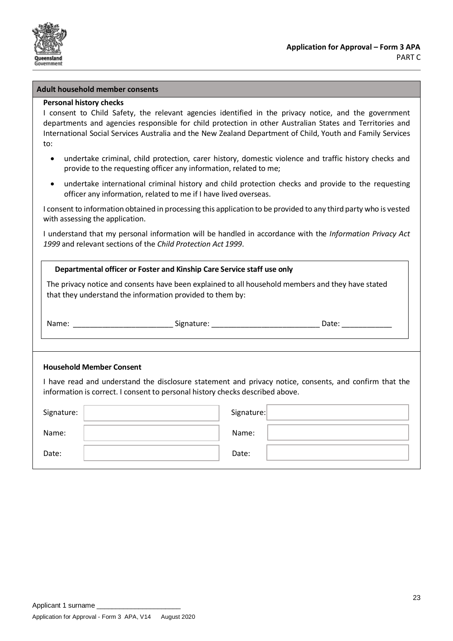

#### **Adult household member consents**

### **Personal history checks**

I consent to Child Safety, the relevant agencies identified in the privacy notice, and the government departments and agencies responsible for child protection in other Australian States and Territories and International Social Services Australia and the New Zealand Department of Child, Youth and Family Services to:

- undertake criminal, child protection, carer history, domestic violence and traffic history checks and provide to the requesting officer any information, related to me;
- undertake international criminal history and child protection checks and provide to the requesting officer any information, related to me if I have lived overseas.

I consent to information obtained in processing this application to be provided to any third party who is vested with assessing the application.

I understand that my personal information will be handled in accordance with the *Information Privacy Act 1999* and relevant sections of the *Child Protection Act 1999*.

| Departmental officer or Foster and Kinship Care Service staff use only                                                                                                                  |            |  |  |  |
|-----------------------------------------------------------------------------------------------------------------------------------------------------------------------------------------|------------|--|--|--|
| The privacy notice and consents have been explained to all household members and they have stated<br>that they understand the information provided to them by:                          |            |  |  |  |
|                                                                                                                                                                                         |            |  |  |  |
|                                                                                                                                                                                         |            |  |  |  |
| <b>Household Member Consent</b>                                                                                                                                                         |            |  |  |  |
| I have read and understand the disclosure statement and privacy notice, consents, and confirm that the<br>information is correct. I consent to personal history checks described above. |            |  |  |  |
| Signature:                                                                                                                                                                              | Signature: |  |  |  |
| Name:                                                                                                                                                                                   | Name:      |  |  |  |
| Date:                                                                                                                                                                                   | Date:      |  |  |  |